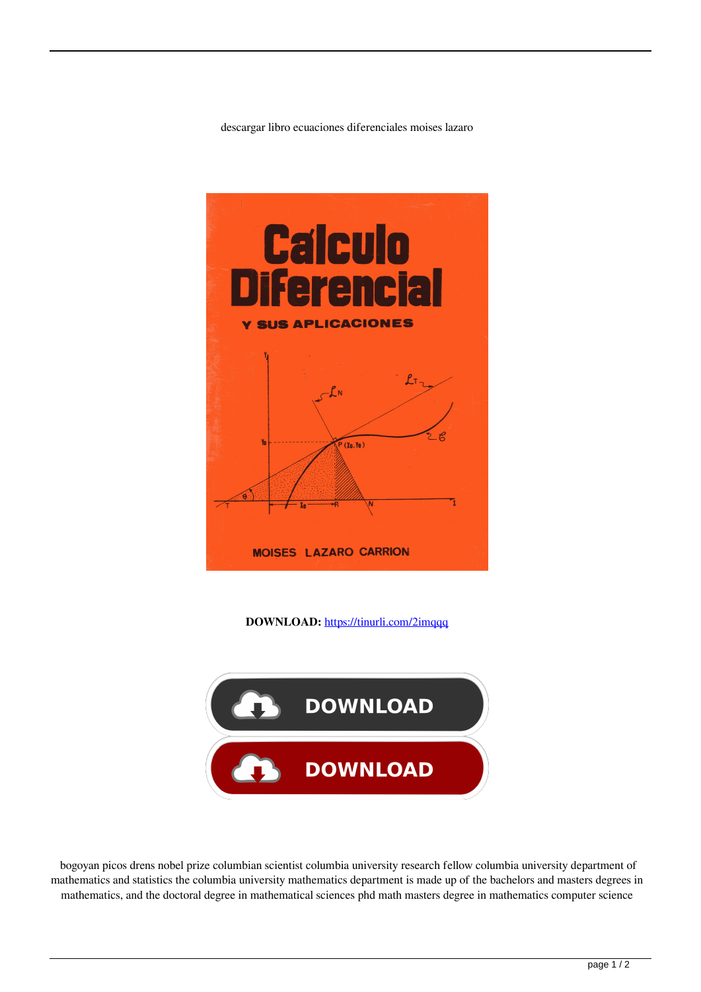descargar libro ecuaciones diferenciales moises lazaro



**DOWNLOAD:** <https://tinurli.com/2imqqq>



 bogoyan picos drens nobel prize columbian scientist columbia university research fellow columbia university department of mathematics and statistics the columbia university mathematics department is made up of the bachelors and masters degrees in mathematics, and the doctoral degree in mathematical sciences phd math masters degree in mathematics computer science